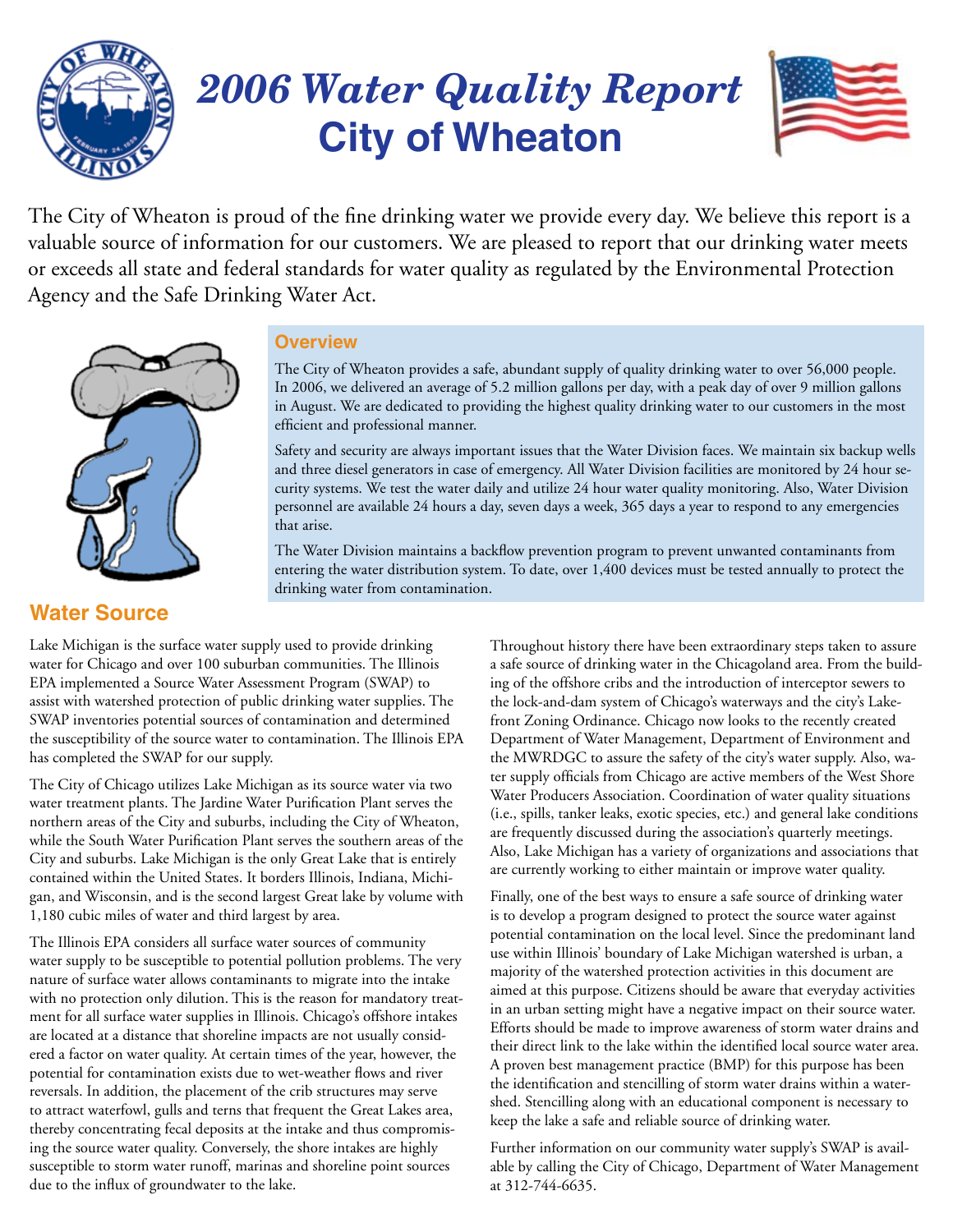

## *2006 Water Quality Report* **City of Wheaton**



The City of Wheaton is proud of the fine drinking water we provide every day. We believe this report is a valuable source of information for our customers. We are pleased to report that our drinking water meets or exceeds all state and federal standards for water quality as regulated by the Environmental Protection Agency and the Safe Drinking Water Act.



### **Overview**

The City of Wheaton provides a safe, abundant supply of quality drinking water to over 56,000 people. In 2006, we delivered an average of 5.2 million gallons per day, with a peak day of over 9 million gallons in August. We are dedicated to providing the highest quality drinking water to our customers in the most efficient and professional manner.

Safety and security are always important issues that the Water Division faces. We maintain six backup wells and three diesel generators in case of emergency. All Water Division facilities are monitored by 24 hour security systems. We test the water daily and utilize 24 hour water quality monitoring. Also, Water Division personnel are available 24 hours a day, seven days a week, 365 days a year to respond to any emergencies that arise.

The Water Division maintains a backflow prevention program to prevent unwanted contaminants from entering the water distribution system. To date, over 1,400 devices must be tested annually to protect the drinking water from contamination.

### **Water Source**

Lake Michigan is the surface water supply used to provide drinking water for Chicago and over 100 suburban communities. The Illinois EPA implemented a Source Water Assessment Program (SWAP) to assist with watershed protection of public drinking water supplies. The SWAP inventories potential sources of contamination and determined the susceptibility of the source water to contamination. The Illinois EPA has completed the SWAP for our supply.

The City of Chicago utilizes Lake Michigan as its source water via two water treatment plants. The Jardine Water Purification Plant serves the northern areas of the City and suburbs, including the City of Wheaton, while the South Water Purification Plant serves the southern areas of the City and suburbs. Lake Michigan is the only Great Lake that is entirely contained within the United States. It borders Illinois, Indiana, Michigan, and Wisconsin, and is the second largest Great lake by volume with 1,180 cubic miles of water and third largest by area.

The Illinois EPA considers all surface water sources of community water supply to be susceptible to potential pollution problems. The very nature of surface water allows contaminants to migrate into the intake with no protection only dilution. This is the reason for mandatory treatment for all surface water supplies in Illinois. Chicago's offshore intakes are located at a distance that shoreline impacts are not usually considered a factor on water quality. At certain times of the year, however, the potential for contamination exists due to wet-weather flows and river reversals. In addition, the placement of the crib structures may serve to attract waterfowl, gulls and terns that frequent the Great Lakes area, thereby concentrating fecal deposits at the intake and thus compromising the source water quality. Conversely, the shore intakes are highly susceptible to storm water runoff, marinas and shoreline point sources due to the influx of groundwater to the lake.

Throughout history there have been extraordinary steps taken to assure a safe source of drinking water in the Chicagoland area. From the building of the offshore cribs and the introduction of interceptor sewers to the lock-and-dam system of Chicago's waterways and the city's Lakefront Zoning Ordinance. Chicago now looks to the recently created Department of Water Management, Department of Environment and the MWRDGC to assure the safety of the city's water supply. Also, water supply officials from Chicago are active members of the West Shore Water Producers Association. Coordination of water quality situations (i.e., spills, tanker leaks, exotic species, etc.) and general lake conditions are frequently discussed during the association's quarterly meetings. Also, Lake Michigan has a variety of organizations and associations that are currently working to either maintain or improve water quality.

Finally, one of the best ways to ensure a safe source of drinking water is to develop a program designed to protect the source water against potential contamination on the local level. Since the predominant land use within Illinois' boundary of Lake Michigan watershed is urban, a majority of the watershed protection activities in this document are aimed at this purpose. Citizens should be aware that everyday activities in an urban setting might have a negative impact on their source water. Efforts should be made to improve awareness of storm water drains and their direct link to the lake within the identified local source water area. A proven best management practice (BMP) for this purpose has been the identification and stencilling of storm water drains within a watershed. Stencilling along with an educational component is necessary to keep the lake a safe and reliable source of drinking water.

Further information on our community water supply's SWAP is available by calling the City of Chicago, Department of Water Management at 312-744-6635.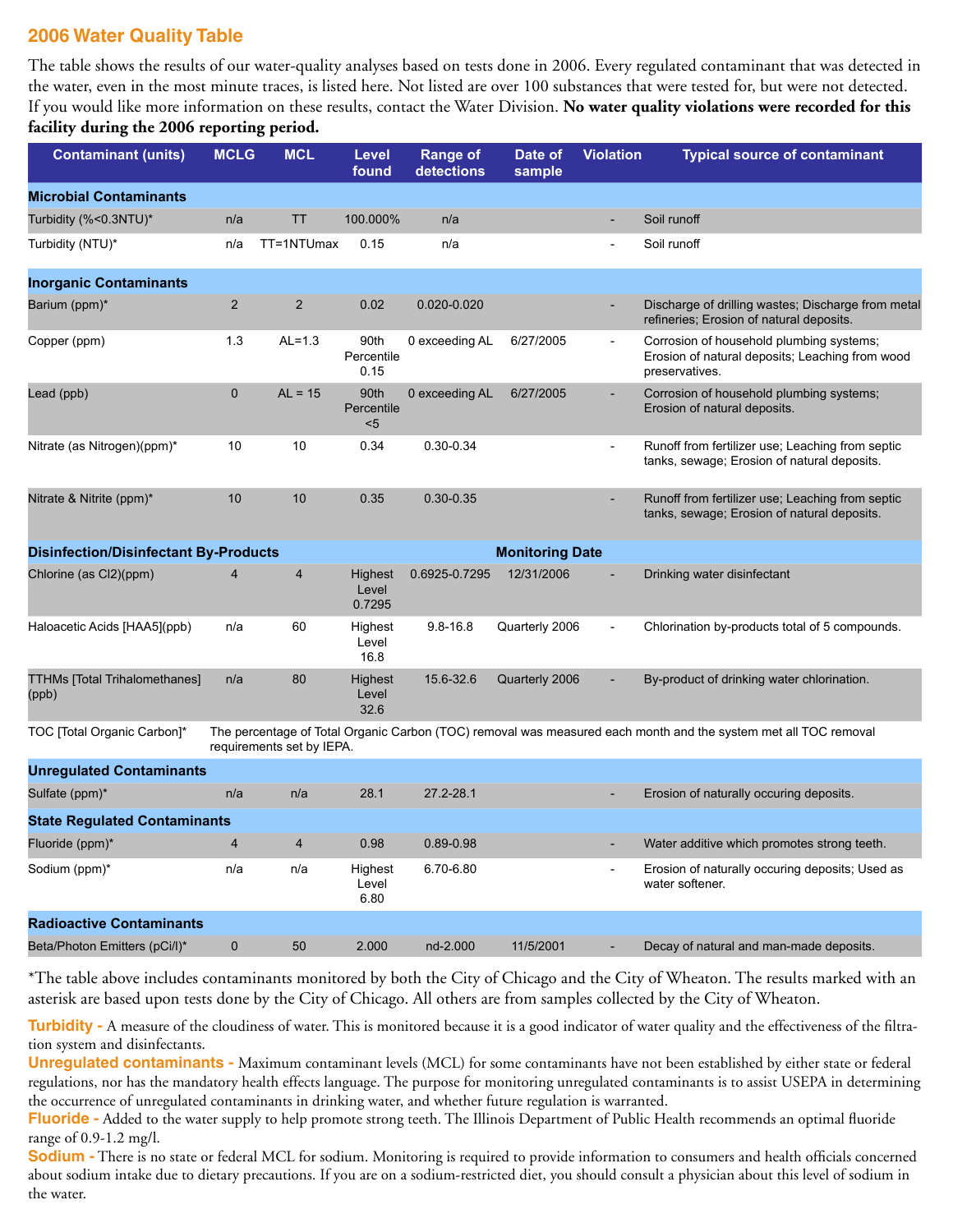### **2006 Water Quality Table**

The table shows the results of our water-quality analyses based on tests done in 2006. Every regulated contaminant that was detected in the water, even in the most minute traces, is listed here. Not listed are over 100 substances that were tested for, but were not detected. If you would like more information on these results, contact the Water Division. **No water quality violations were recorded for this facility during the 2006 reporting period.**

| <b>Contaminant (units)</b>                                             | <b>MCLG</b>    | <b>MCL</b>                | Level<br>found             | Range of<br>detections | Date of<br>sample | <b>Violation</b>         | <b>Typical source of contaminant</b>                                                                            |
|------------------------------------------------------------------------|----------------|---------------------------|----------------------------|------------------------|-------------------|--------------------------|-----------------------------------------------------------------------------------------------------------------|
| <b>Microbial Contaminants</b>                                          |                |                           |                            |                        |                   |                          |                                                                                                                 |
| Turbidity (%<0.3NTU)*                                                  | n/a            | TT                        | 100.000%                   | n/a                    |                   |                          | Soil runoff                                                                                                     |
| Turbidity (NTU)*                                                       | n/a            | TT=1NTUmax                | 0.15                       | n/a                    |                   |                          | Soil runoff                                                                                                     |
| <b>Inorganic Contaminants</b>                                          |                |                           |                            |                        |                   |                          |                                                                                                                 |
| Barium (ppm)*                                                          | $\overline{2}$ | 2                         | 0.02                       | 0.020-0.020            |                   |                          | Discharge of drilling wastes; Discharge from metal<br>refineries; Erosion of natural deposits.                  |
| Copper (ppm)                                                           | 1.3            | $AL=1.3$                  | 90th<br>Percentile<br>0.15 | 0 exceeding AL         | 6/27/2005         | $\overline{\phantom{a}}$ | Corrosion of household plumbing systems;<br>Erosion of natural deposits; Leaching from wood<br>preservatives.   |
| Lead (ppb)                                                             | 0              | $AL = 15$                 | 90th<br>Percentile<br>$5$  | 0 exceeding AL         | 6/27/2005         |                          | Corrosion of household plumbing systems;<br>Erosion of natural deposits.                                        |
| Nitrate (as Nitrogen)(ppm)*                                            | 10             | 10                        | 0.34                       | $0.30 - 0.34$          |                   |                          | Runoff from fertilizer use; Leaching from septic<br>tanks, sewage; Erosion of natural deposits.                 |
| Nitrate & Nitrite (ppm)*                                               | 10             | 10                        | 0.35                       | $0.30 - 0.35$          |                   |                          | Runoff from fertilizer use; Leaching from septic<br>tanks, sewage; Erosion of natural deposits.                 |
| <b>Disinfection/Disinfectant By-Products</b><br><b>Monitoring Date</b> |                |                           |                            |                        |                   |                          |                                                                                                                 |
| Chlorine (as Cl2)(ppm)                                                 | 4              | $\overline{4}$            | Highest<br>Level<br>0.7295 | 0.6925-0.7295          | 12/31/2006        |                          | Drinking water disinfectant                                                                                     |
| Haloacetic Acids [HAA5](ppb)                                           | n/a            | 60                        | Highest<br>Level<br>16.8   | $9.8 - 16.8$           | Quarterly 2006    |                          | Chlorination by-products total of 5 compounds.                                                                  |
| <b>TTHMs [Total Trihalomethanes]</b><br>(ppb)                          | n/a            | 80                        | Highest<br>Level<br>32.6   | 15.6-32.6              | Quarterly 2006    |                          | By-product of drinking water chlorination.                                                                      |
| TOC [Total Organic Carbon]*                                            |                | requirements set by IEPA. |                            |                        |                   |                          | The percentage of Total Organic Carbon (TOC) removal was measured each month and the system met all TOC removal |
| <b>Unregulated Contaminants</b>                                        |                |                           |                            |                        |                   |                          |                                                                                                                 |
| Sulfate (ppm)*                                                         | n/a            | n/a                       | 28.1                       | 27.2-28.1              |                   |                          | Erosion of naturally occuring deposits.                                                                         |
| <b>State Regulated Contaminants</b>                                    |                |                           |                            |                        |                   |                          |                                                                                                                 |
| Fluoride (ppm)*                                                        | 4              | $\overline{4}$            | 0.98                       | 0.89-0.98              |                   |                          | Water additive which promotes strong teeth.                                                                     |
| Sodium (ppm)*                                                          | n/a            | n/a                       | Highest<br>Level<br>6.80   | 6.70-6.80              |                   |                          | Erosion of naturally occuring deposits; Used as<br>water softener.                                              |
| <b>Radioactive Contaminants</b>                                        |                |                           |                            |                        |                   |                          |                                                                                                                 |
| Beta/Photon Emitters (pCi/l)*                                          | $\pmb{0}$      | 50                        | 2.000                      | nd-2.000               | 11/5/2001         |                          | Decay of natural and man-made deposits.                                                                         |

\*The table above includes contaminants monitored by both the City of Chicago and the City of Wheaton. The results marked with an asterisk are based upon tests done by the City of Chicago. All others are from samples collected by the City of Wheaton.

Turbidity - A measure of the cloudiness of water. This is monitored because it is a good indicator of water quality and the effectiveness of the filtration system and disinfectants.

**Unregulated contaminants -** Maximum contaminant levels (MCL) for some contaminants have not been established by either state or federal regulations, nor has the mandatory health effects language. The purpose for monitoring unregulated contaminants is to assist USEPA in determining the occurrence of unregulated contaminants in drinking water, and whether future regulation is warranted.

**Fluoride -** Added to the water supply to help promote strong teeth. The Illinois Department of Public Health recommends an optimal fluoride range of 0.9-1.2 mg/l.

**Sodium -** There is no state or federal MCL for sodium. Monitoring is required to provide information to consumers and health officials concerned about sodium intake due to dietary precautions. If you are on a sodium-restricted diet, you should consult a physician about this level of sodium in the water.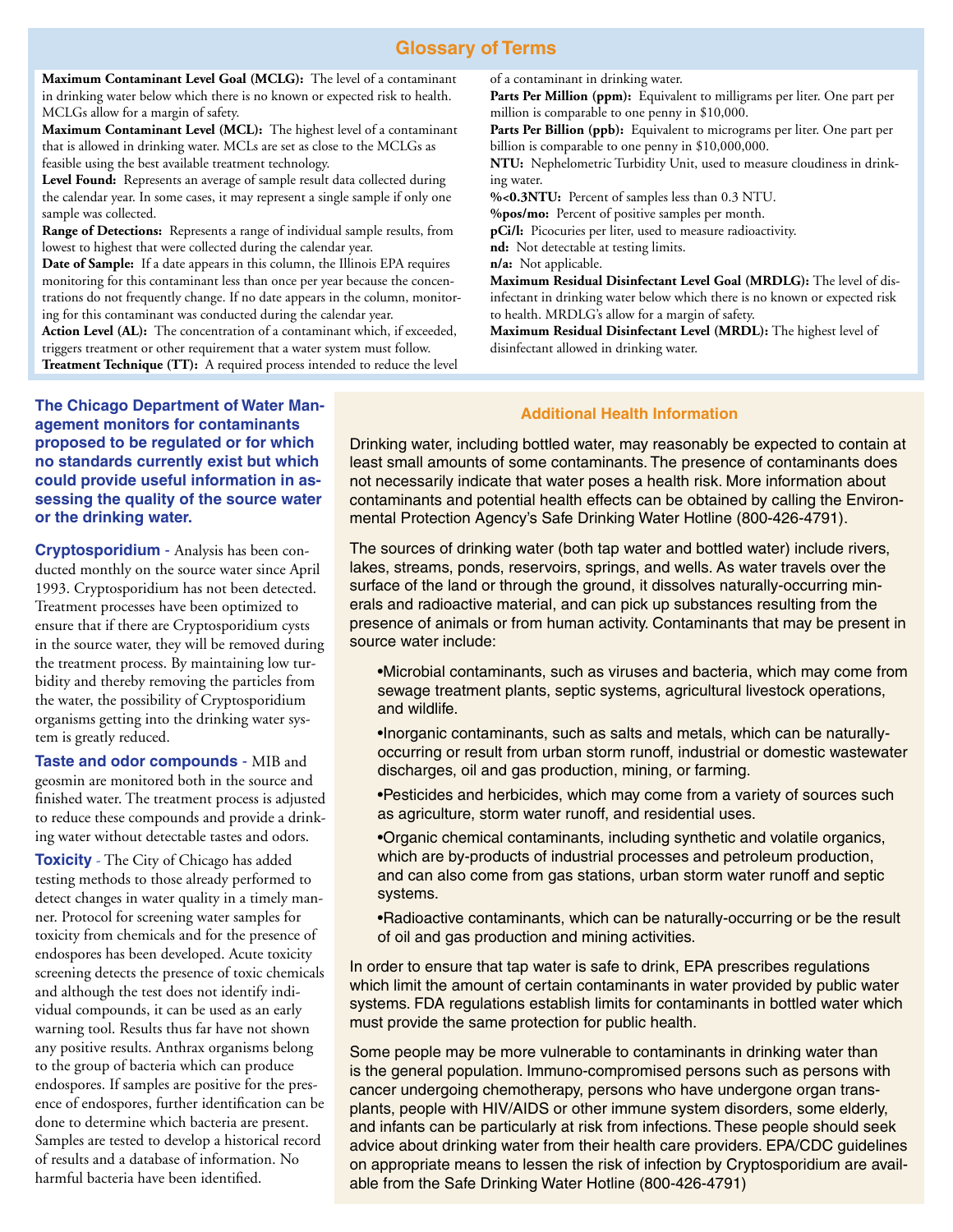#### **Glossary of Terms**

**Maximum Contaminant Level Goal (MCLG):** The level of a contaminant in drinking water below which there is no known or expected risk to health. MCLGs allow for a margin of safety.

**Maximum Contaminant Level (MCL):** The highest level of a contaminant that is allowed in drinking water. MCLs are set as close to the MCLGs as feasible using the best available treatment technology.

**Level Found:** Represents an average of sample result data collected during the calendar year. In some cases, it may represent a single sample if only one sample was collected.

**Range of Detections:** Represents a range of individual sample results, from lowest to highest that were collected during the calendar year.

**Date of Sample:** If a date appears in this column, the Illinois EPA requires monitoring for this contaminant less than once per year because the concentrations do not frequently change. If no date appears in the column, monitoring for this contaminant was conducted during the calendar year.

**Action Level (AL):** The concentration of a contaminant which, if exceeded, triggers treatment or other requirement that a water system must follow. **Treatment Technique (TT):** A required process intended to reduce the level of a contaminant in drinking water.

Parts Per Million (ppm): Equivalent to milligrams per liter. One part per million is comparable to one penny in \$10,000.

Parts Per Billion (ppb): Equivalent to micrograms per liter. One part per billion is comparable to one penny in \$10,000,000.

**NTU:** Nephelometric Turbidity Unit, used to measure cloudiness in drinking water.

**%<0.3NTU:** Percent of samples less than 0.3 NTU.

**%pos/mo:** Percent of positive samples per month.

**pCi/l:** Picocuries per liter, used to measure radioactivity.

**nd:** Not detectable at testing limits.

**n/a:** Not applicable.

**Maximum Residual Disinfectant Level Goal (MRDLG):** The level of disinfectant in drinking water below which there is no known or expected risk to health. MRDLG's allow for a margin of safety.

**Maximum Residual Disinfectant Level (MRDL):** The highest level of disinfectant allowed in drinking water.

**The Chicago Department of Water Management monitors for contaminants proposed to be regulated or for which no standards currently exist but which could provide useful information in assessing the quality of the source water or the drinking water.**

**Cryptosporidium** - Analysis has been conducted monthly on the source water since April 1993. Cryptosporidium has not been detected. Treatment processes have been optimized to ensure that if there are Cryptosporidium cysts in the source water, they will be removed during the treatment process. By maintaining low turbidity and thereby removing the particles from the water, the possibility of Cryptosporidium organisms getting into the drinking water system is greatly reduced.

**Taste and odor compounds** - MIB and geosmin are monitored both in the source and finished water. The treatment process is adjusted to reduce these compounds and provide a drinking water without detectable tastes and odors.

**Toxicity** - The City of Chicago has added testing methods to those already performed to detect changes in water quality in a timely manner. Protocol for screening water samples for toxicity from chemicals and for the presence of endospores has been developed. Acute toxicity screening detects the presence of toxic chemicals and although the test does not identify individual compounds, it can be used as an early warning tool. Results thus far have not shown any positive results. Anthrax organisms belong to the group of bacteria which can produce endospores. If samples are positive for the presence of endospores, further identification can be done to determine which bacteria are present. Samples are tested to develop a historical record of results and a database of information. No harmful bacteria have been identified.

#### **Additional Health Information**

Drinking water, including bottled water, may reasonably be expected to contain at least small amounts of some contaminants. The presence of contaminants does not necessarily indicate that water poses a health risk. More information about contaminants and potential health effects can be obtained by calling the Environmental Protection Agency's Safe Drinking Water Hotline (800-426-4791).

The sources of drinking water (both tap water and bottled water) include rivers, lakes, streams, ponds, reservoirs, springs, and wells. As water travels over the surface of the land or through the ground, it dissolves naturally-occurring minerals and radioactive material, and can pick up substances resulting from the presence of animals or from human activity. Contaminants that may be present in source water include:

•Microbial contaminants, such as viruses and bacteria, which may come from sewage treatment plants, septic systems, agricultural livestock operations, and wildlife.

•Inorganic contaminants, such as salts and metals, which can be naturallyoccurring or result from urban storm runoff, industrial or domestic wastewater discharges, oil and gas production, mining, or farming.

•Pesticides and herbicides, which may come from a variety of sources such as agriculture, storm water runoff, and residential uses.

•Organic chemical contaminants, including synthetic and volatile organics, which are by-products of industrial processes and petroleum production, and can also come from gas stations, urban storm water runoff and septic systems.

•Radioactive contaminants, which can be naturally-occurring or be the result of oil and gas production and mining activities.

In order to ensure that tap water is safe to drink, EPA prescribes regulations which limit the amount of certain contaminants in water provided by public water systems. FDA regulations establish limits for contaminants in bottled water which must provide the same protection for public health.

Some people may be more vulnerable to contaminants in drinking water than is the general population. Immuno-compromised persons such as persons with cancer undergoing chemotherapy, persons who have undergone organ transplants, people with HIV/AIDS or other immune system disorders, some elderly, and infants can be particularly at risk from infections. These people should seek advice about drinking water from their health care providers. EPA/CDC guidelines on appropriate means to lessen the risk of infection by Cryptosporidium are available from the Safe Drinking Water Hotline (800-426-4791)